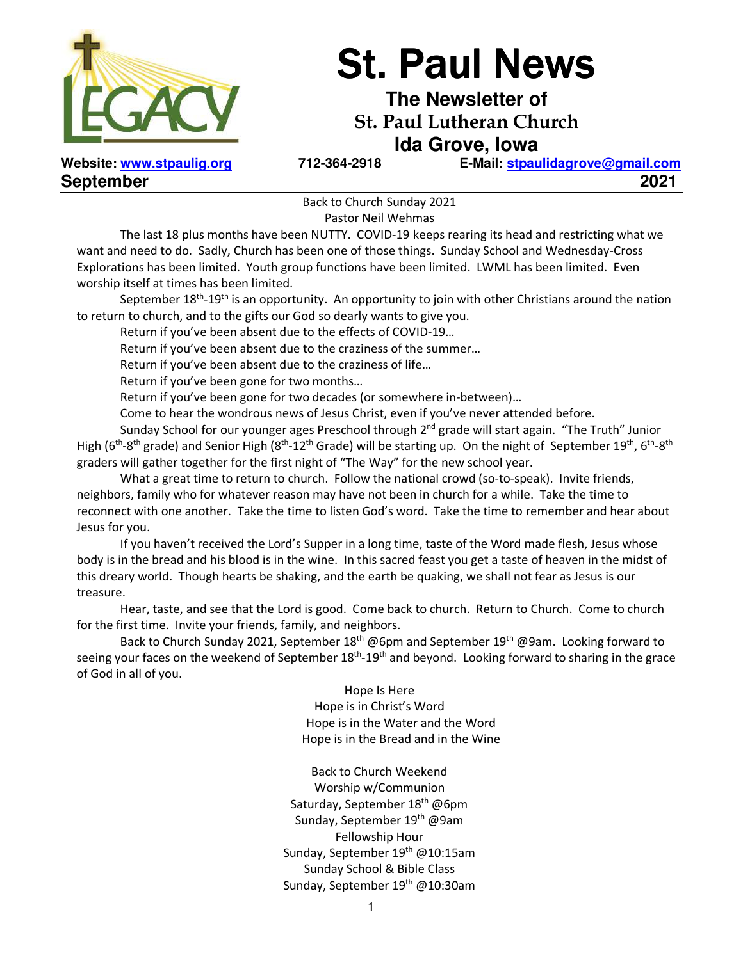

# **St. Paul News**

**The Newsletter of St. Paul Lutheran Church Ida Grove, Iowa** 

**September 2021** 

**Website: www.stpaulig.org 712-364-2918 E-Mail: stpaulidagrove@gmail.com**

Back to Church Sunday 2021 Pastor Neil Wehmas

 The last 18 plus months have been NUTTY. COVID-19 keeps rearing its head and restricting what we want and need to do. Sadly, Church has been one of those things. Sunday School and Wednesday-Cross Explorations has been limited. Youth group functions have been limited. LWML has been limited. Even worship itself at times has been limited.

September  $18<sup>th</sup>$ -19<sup>th</sup> is an opportunity. An opportunity to join with other Christians around the nation to return to church, and to the gifts our God so dearly wants to give you.

Return if you've been absent due to the effects of COVID-19…

Return if you've been absent due to the craziness of the summer…

Return if you've been absent due to the craziness of life…

Return if you've been gone for two months…

Return if you've been gone for two decades (or somewhere in-between)…

Come to hear the wondrous news of Jesus Christ, even if you've never attended before.

Sunday School for our younger ages Preschool through  $2<sup>nd</sup>$  grade will start again. "The Truth" Junior High ( $6th$ -8<sup>th</sup> grade) and Senior High ( $8th$ -12<sup>th</sup> Grade) will be starting up. On the night of September 19<sup>th</sup>, 6<sup>th</sup>-8<sup>th</sup> graders will gather together for the first night of "The Way" for the new school year.

 What a great time to return to church. Follow the national crowd (so-to-speak). Invite friends, neighbors, family who for whatever reason may have not been in church for a while. Take the time to reconnect with one another. Take the time to listen God's word. Take the time to remember and hear about Jesus for you.

 If you haven't received the Lord's Supper in a long time, taste of the Word made flesh, Jesus whose body is in the bread and his blood is in the wine. In this sacred feast you get a taste of heaven in the midst of this dreary world. Though hearts be shaking, and the earth be quaking, we shall not fear as Jesus is our treasure.

 Hear, taste, and see that the Lord is good. Come back to church. Return to Church. Come to church for the first time. Invite your friends, family, and neighbors.

Back to Church Sunday 2021, September 18<sup>th</sup> @6pm and September 19<sup>th</sup> @9am. Looking forward to seeing your faces on the weekend of September 18<sup>th</sup>-19<sup>th</sup> and beyond. Looking forward to sharing in the grace of God in all of you.

> Hope Is Here Hope is in Christ's Word Hope is in the Water and the Word Hope is in the Bread and in the Wine

Back to Church Weekend Worship w/Communion Saturday, September 18<sup>th</sup> @6pm Sunday, September 19<sup>th</sup> @9am Fellowship Hour Sunday, September 19<sup>th</sup> @10:15am Sunday School & Bible Class Sunday, September 19<sup>th</sup> @10:30am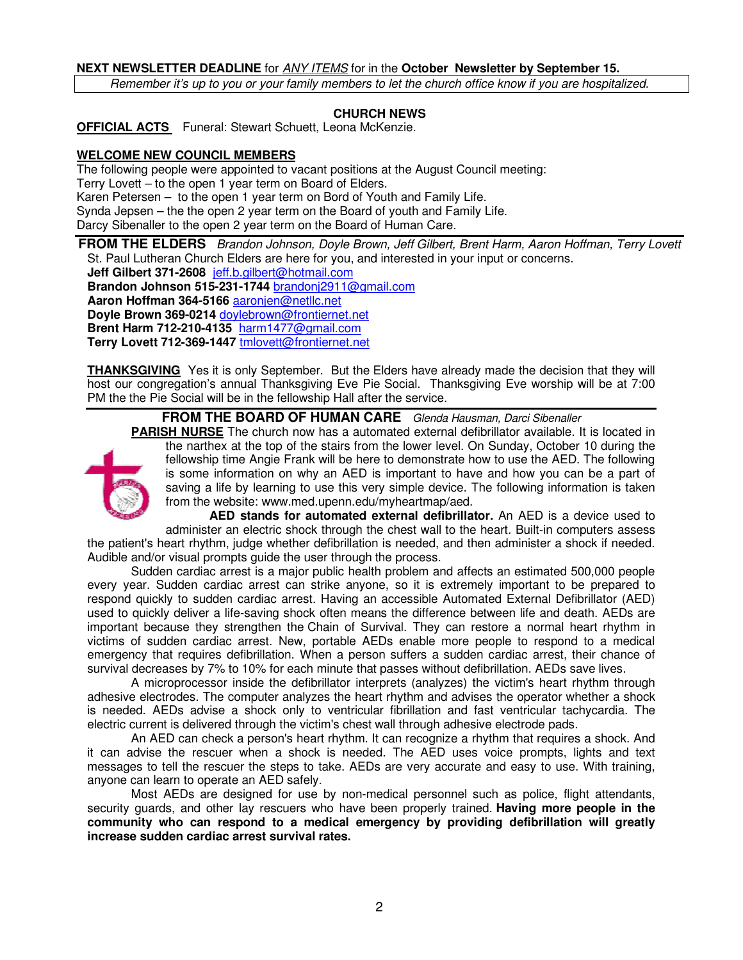#### **NEXT NEWSLETTER DEADLINE** for ANY ITEMS for in the **October Newsletter by September 15.**

Remember it's up to you or your family members to let the church office know if you are hospitalized.

#### **CHURCH NEWS**

**OFFICIAL ACTS** Funeral: Stewart Schuett, Leona McKenzie.

#### **WELCOME NEW COUNCIL MEMBERS**

The following people were appointed to vacant positions at the August Council meeting: Terry Lovett – to the open 1 year term on Board of Elders. Karen Petersen – to the open 1 year term on Bord of Youth and Family Life. Synda Jepsen – the the open 2 year term on the Board of youth and Family Life. Darcy Sibenaller to the open 2 year term on the Board of Human Care.

**FROM THE ELDERS** Brandon Johnson, Doyle Brown, Jeff Gilbert, Brent Harm, Aaron Hoffman, Terry Lovett St. Paul Lutheran Church Elders are here for you, and interested in your input or concerns.

**Jeff Gilbert 371-2608** jeff.b.gilbert@hotmail.com **Brandon Johnson 515-231-1744** brandonj2911@gmail.com **Aaron Hoffman 364-5166** aaronjen@netllc.net

**Doyle Brown 369-0214** doylebrown@frontiernet.net

**Brent Harm 712-210-4135** harm1477@gmail.com

**Terry Lovett 712-369-1447** tmlovett@frontiernet.net

**THANKSGIVING** Yes it is only September. But the Elders have already made the decision that they will host our congregation's annual Thanksgiving Eve Pie Social. Thanksgiving Eve worship will be at 7:00 PM the the Pie Social will be in the fellowship Hall after the service.

**FROM THE BOARD OF HUMAN CARE** Glenda Hausman, Darci Sibenaller



**PARISH NURSE** The church now has a automated external defibrillator available. It is located in the narthex at the top of the stairs from the lower level. On Sunday, October 10 during the fellowship time Angie Frank will be here to demonstrate how to use the AED. The following is some information on why an AED is important to have and how you can be a part of saving a life by learning to use this very simple device. The following information is taken from the website: www.med.upenn.edu/myheartmap/aed.

**AED stands for automated external defibrillator.** An AED is a device used to administer an electric shock through the chest wall to the heart. Built-in computers assess the patient's heart rhythm, judge whether defibrillation is needed, and then administer a shock if needed. Audible and/or visual prompts guide the user through the process.

Sudden cardiac arrest is a major public health problem and affects an estimated 500,000 people every year. Sudden cardiac arrest can strike anyone, so it is extremely important to be prepared to respond quickly to sudden cardiac arrest. Having an accessible Automated External Defibrillator (AED) used to quickly deliver a life-saving shock often means the difference between life and death. AEDs are important because they strengthen the Chain of Survival. They can restore a normal heart rhythm in victims of sudden cardiac arrest. New, portable AEDs enable more people to respond to a medical emergency that requires defibrillation. When a person suffers a sudden cardiac arrest, their chance of survival decreases by 7% to 10% for each minute that passes without defibrillation. AEDs save lives.

A microprocessor inside the defibrillator interprets (analyzes) the victim's heart rhythm through adhesive electrodes. The computer analyzes the heart rhythm and advises the operator whether a shock is needed. AEDs advise a shock only to ventricular fibrillation and fast ventricular tachycardia. The electric current is delivered through the victim's chest wall through adhesive electrode pads.

An AED can check a person's heart rhythm. It can recognize a rhythm that requires a shock. And it can advise the rescuer when a shock is needed. The AED uses voice prompts, lights and text messages to tell the rescuer the steps to take. AEDs are very accurate and easy to use. With training, anyone can learn to operate an AED safely.

Most AEDs are designed for use by non-medical personnel such as police, flight attendants, security guards, and other lay rescuers who have been properly trained. **Having more people in the community who can respond to a medical emergency by providing defibrillation will greatly increase sudden cardiac arrest survival rates.**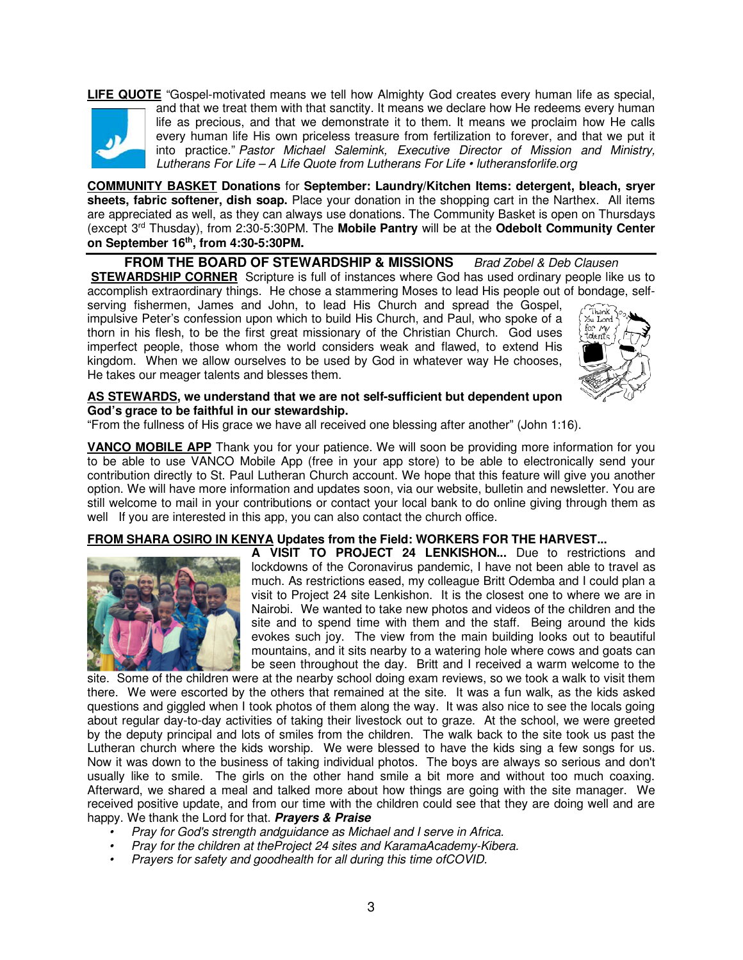#### **LIFE QUOTE** "Gospel-motivated means we tell how Almighty God creates every human life as special,



and that we treat them with that sanctity. It means we declare how He redeems every human life as precious, and that we demonstrate it to them. It means we proclaim how He calls every human life His own priceless treasure from fertilization to forever, and that we put it into practice." Pastor Michael Salemink, Executive Director of Mission and Ministry, Lutherans For Life – A Life Quote from Lutherans For Life • lutheransforlife.org

**COMMUNITY BASKET Donations** for **September: Laundry/Kitchen Items: detergent, bleach, sryer sheets, fabric softener, dish soap.** Place your donation in the shopping cart in the Narthex. All items are appreciated as well, as they can always use donations. The Community Basket is open on Thursdays (except 3rd Thusday), from 2:30-5:30PM. The **Mobile Pantry** will be at the **Odebolt Community Center on September 16th , from 4:30-5:30PM.** 

**FROM THE BOARD OF STEWARDSHIP & MISSIONS** Brad Zobel & Deb Clausen **STEWARDSHIP CORNER** Scripture is full of instances where God has used ordinary people like us to accomplish extraordinary things. He chose a stammering Moses to lead His people out of bondage, self-

serving fishermen, James and John, to lead His Church and spread the Gospel, impulsive Peter's confession upon which to build His Church, and Paul, who spoke of a thorn in his flesh, to be the first great missionary of the Christian Church. God uses imperfect people, those whom the world considers weak and flawed, to extend His kingdom. When we allow ourselves to be used by God in whatever way He chooses, He takes our meager talents and blesses them.



#### **AS STEWARDS, we understand that we are not self-sufficient but dependent upon God's grace to be faithful in our stewardship.**

"From the fullness of His grace we have all received one blessing after another" (John 1:16).

**VANCO MOBILE APP** Thank you for your patience. We will soon be providing more information for you to be able to use VANCO Mobile App (free in your app store) to be able to electronically send your contribution directly to St. Paul Lutheran Church account. We hope that this feature will give you another option. We will have more information and updates soon, via our website, bulletin and newsletter. You are still welcome to mail in your contributions or contact your local bank to do online giving through them as well If you are interested in this app, you can also contact the church office.

#### **FROM SHARA OSIRO IN KENYA Updates from the Field: WORKERS FOR THE HARVEST...**



**A VISIT TO PROJECT 24 LENKISHON...** Due to restrictions and lockdowns of the Coronavirus pandemic, I have not been able to travel as much. As restrictions eased, my colleague Britt Odemba and I could plan a visit to Project 24 site Lenkishon. It is the closest one to where we are in Nairobi. We wanted to take new photos and videos of the children and the site and to spend time with them and the staff. Being around the kids evokes such joy. The view from the main building looks out to beautiful mountains, and it sits nearby to a watering hole where cows and goats can be seen throughout the day. Britt and I received a warm welcome to the

site. Some of the children were at the nearby school doing exam reviews, so we took a walk to visit them there. We were escorted by the others that remained at the site. It was a fun walk, as the kids asked questions and giggled when I took photos of them along the way. It was also nice to see the locals going about regular day-to-day activities of taking their livestock out to graze. At the school, we were greeted by the deputy principal and lots of smiles from the children. The walk back to the site took us past the Lutheran church where the kids worship. We were blessed to have the kids sing a few songs for us. Now it was down to the business of taking individual photos. The boys are always so serious and don't usually like to smile. The girls on the other hand smile a bit more and without too much coaxing. Afterward, we shared a meal and talked more about how things are going with the site manager. We received positive update, and from our time with the children could see that they are doing well and are happy. We thank the Lord for that. **Prayers & Praise** 

- Pray for God's strength andguidance as Michael and I serve in Africa.
- Pray for the children at theProject 24 sites and KaramaAcademy-Kibera.
- Prayers for safety and goodhealth for all during this time ofCOVID.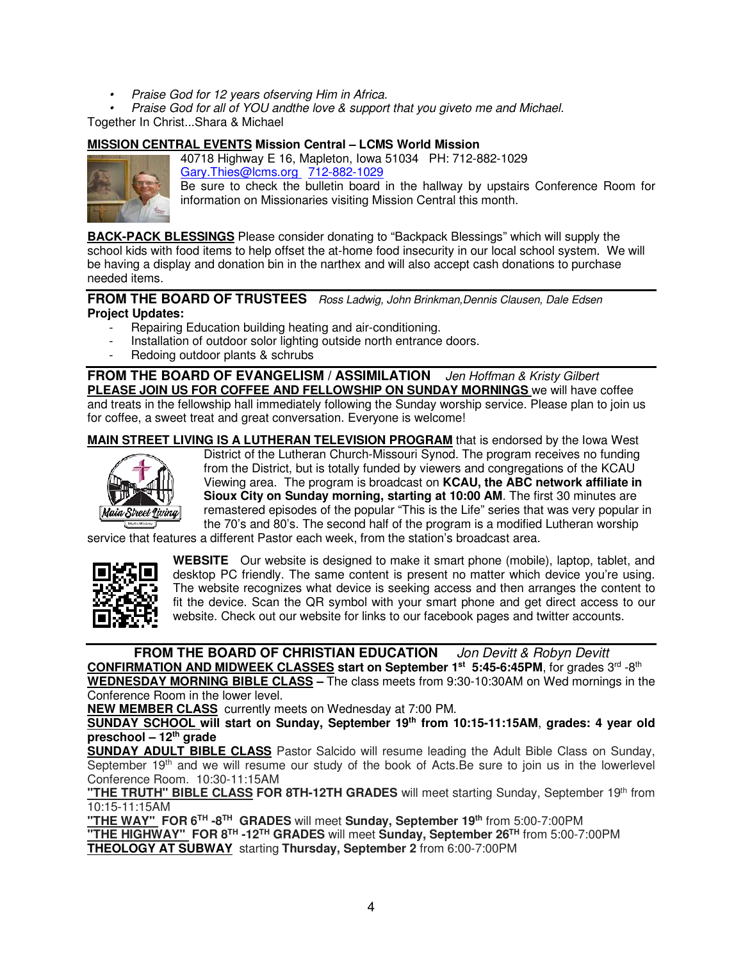- Praise God for 12 years ofserving Him in Africa.
- Praise God for all of YOU andthe love & support that you giveto me and Michael.

Together In Christ...Shara & Michael

#### **MISSION CENTRAL EVENTS Mission Central – LCMS World Mission**



40718 Highway E 16, Mapleton, Iowa 51034 PH: 712-882-1029 Gary.Thies@lcms.org 712-882-1029

Be sure to check the bulletin board in the hallway by upstairs Conference Room for information on Missionaries visiting Mission Central this month.

**BACK-PACK BLESSINGS** Please consider donating to "Backpack Blessings" which will supply the school kids with food items to help offset the at-home food insecurity in our local school system. We will be having a display and donation bin in the narthex and will also accept cash donations to purchase needed items.

**FROM THE BOARD OF TRUSTEES** Ross Ladwig, John Brinkman, Dennis Clausen, Dale Edsen **Project Updates:** 

- Repairing Education building heating and air-conditioning.
- Installation of outdoor solor lighting outside north entrance doors.
- Redoing outdoor plants & schrubs

**FROM THE BOARD OF EVANGELISM / ASSIMILATION** Jen Hoffman & Kristy Gilbert **PLEASE JOIN US FOR COFFEE AND FELLOWSHIP ON SUNDAY MORNINGS** we will have coffee and treats in the fellowship hall immediately following the Sunday worship service. Please plan to join us for coffee, a sweet treat and great conversation. Everyone is welcome!

**MAIN STREET LIVING IS A LUTHERAN TELEVISION PROGRAM** that is endorsed by the Iowa West



District of the Lutheran Church-Missouri Synod. The program receives no funding from the District, but is totally funded by viewers and congregations of the KCAU Viewing area. The program is broadcast on **KCAU, the ABC network affiliate in Sioux City on Sunday morning, starting at 10:00 AM**. The first 30 minutes are remastered episodes of the popular "This is the Life" series that was very popular in the 70's and 80's. The second half of the program is a modified Lutheran worship

service that features a different Pastor each week, from the station's broadcast area.



**WEBSITE** Our website is designed to make it smart phone (mobile), laptop, tablet, and desktop PC friendly. The same content is present no matter which device you're using. The website recognizes what device is seeking access and then arranges the content to fit the device. Scan the QR symbol with your smart phone and get direct access to our website. Check out our website for links to our facebook pages and twitter accounts.

**FROM THE BOARD OF CHRISTIAN EDUCATION** Jon Devitt & Robyn Devitt **CONFIRMATION AND MIDWEEK CLASSES start on September 1st 5:45-6:45PM**, for grades 3rd -8th **WEDNESDAY MORNING BIBLE CLASS –** The class meets from 9:30-10:30AM on Wed mornings in the

Conference Room in the lower level.

**NEW MEMBER CLASS** currently meets on Wednesday at 7:00 PM.

**SUNDAY SCHOOL will start on Sunday, September 19th from 10:15-11:15AM**, **grades: 4 year old preschool – 12th grade** 

**SUNDAY ADULT BIBLE CLASS** Pastor Salcido will resume leading the Adult Bible Class on Sunday, September 19<sup>th</sup> and we will resume our study of the book of Acts. Be sure to join us in the lowerlevel Conference Room. 10:30-11:15AM

"THE TRUTH" BIBLE CLASS FOR 8TH-12TH GRADES will meet starting Sunday, September 19<sup>th</sup> from 10:15-11:15AM

**"THE WAY" FOR 6TH -8TH GRADES** will meet **Sunday, September 19th** from 5:00-7:00PM **"THE HIGHWAY" FOR 8TH -12TH GRADES** will meet **Sunday, September 26TH** from 5:00-7:00PM **THEOLOGY AT SUBWAY** starting **Thursday, September 2** from 6:00-7:00PM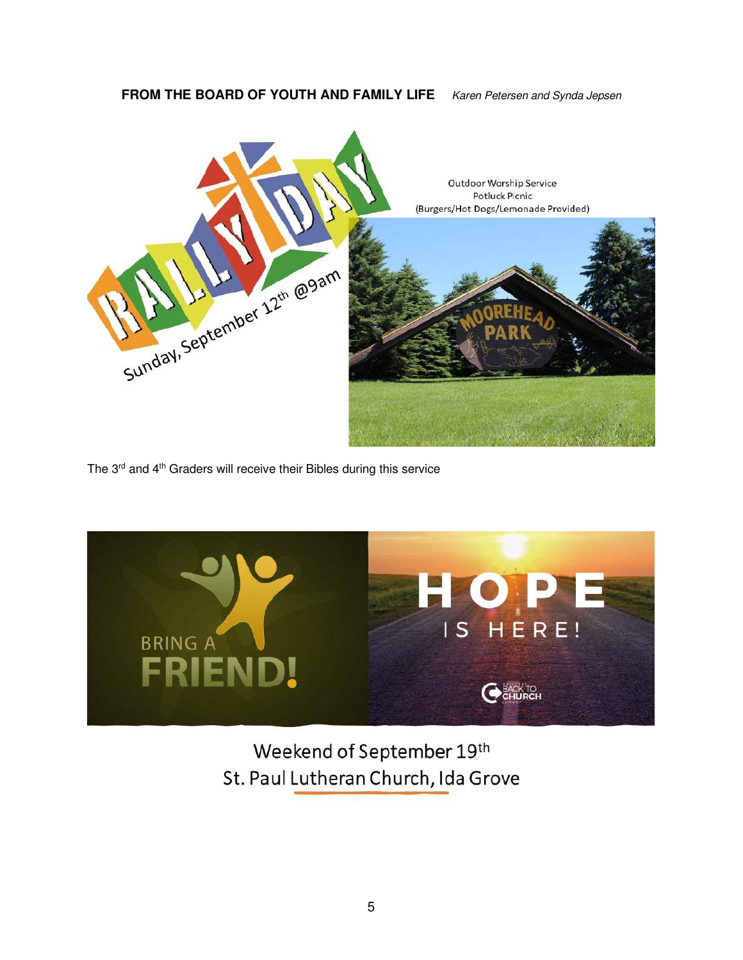#### **FROM THE BOARD OF YOUTH AND FAMILY LIFE** Karen Petersen and Synda Jepsen



The 3<sup>rd</sup> and 4<sup>th</sup> Graders will receive their Bibles during this service



Weekend of September 19th St. Paul Lutheran Church, Ida Grove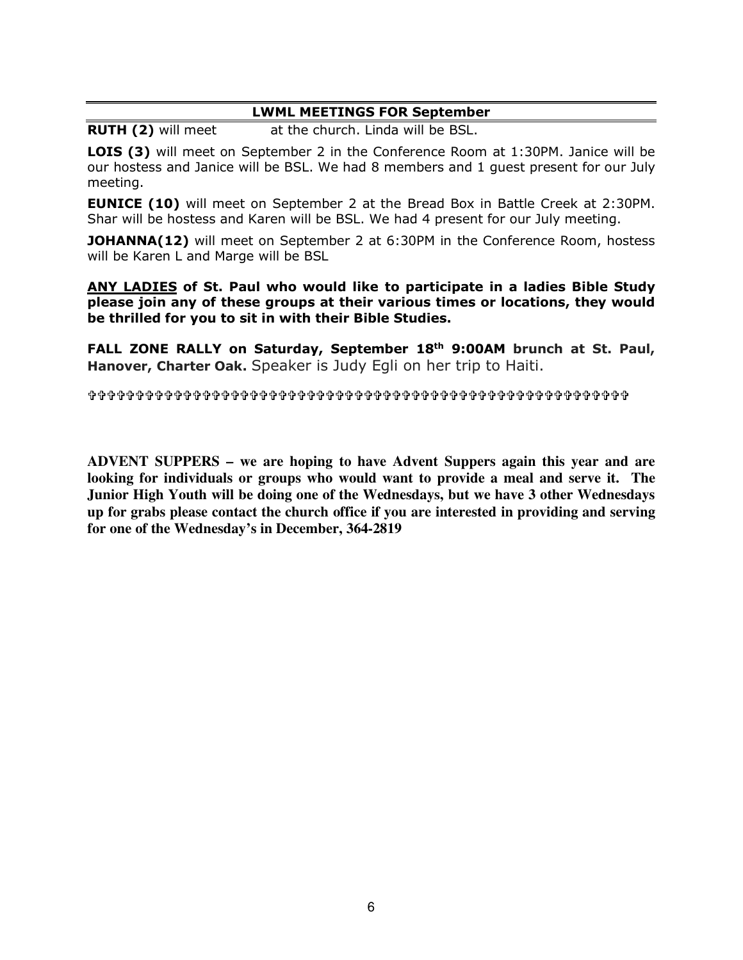#### **LWML MEETINGS FOR September**

**RUTH (2)** will meet at the church. Linda will be BSL.

**LOIS (3)** will meet on September 2 in the Conference Room at 1:30PM. Janice will be our hostess and Janice will be BSL. We had 8 members and 1 guest present for our July meeting.

**EUNICE (10)** will meet on September 2 at the Bread Box in Battle Creek at 2:30PM. Shar will be hostess and Karen will be BSL. We had 4 present for our July meeting.

**JOHANNA(12)** will meet on September 2 at 6:30PM in the Conference Room, hostess will be Karen L and Marge will be BSL

**ANY LADIES of St. Paul who would like to participate in a ladies Bible Study please join any of these groups at their various times or locations, they would be thrilled for you to sit in with their Bible Studies.** 

**FALL ZONE RALLY on Saturday, September 18th 9:00AM brunch at St. Paul, Hanover, Charter Oak.** Speaker is Judy Egli on her trip to Haiti.

**ADVENT SUPPERS – we are hoping to have Advent Suppers again this year and are looking for individuals or groups who would want to provide a meal and serve it. The Junior High Youth will be doing one of the Wednesdays, but we have 3 other Wednesdays up for grabs please contact the church office if you are interested in providing and serving for one of the Wednesday's in December, 364-2819**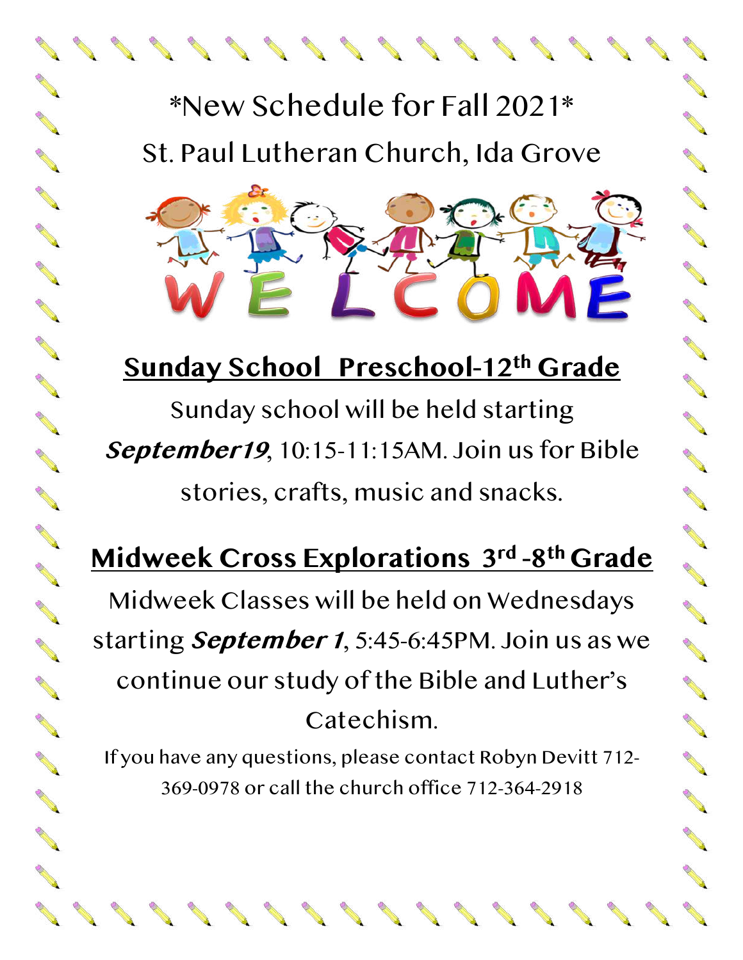## \*New Schedule for Fall 2021\* St. Paul Lutheran Church, Ida Grove

**Contract Contract Contract Contract Contract Contract Contract Contract Contract Contract Contract Contract Contract Contract Contract Contract Contract Contract Contract Contract Contract Contract Contract Contract Contr** 

**CONTRACTOR** 

**Contract of Contract of Contract of Contract of Contract of Contract of Contract of Contract of Contract of Contract of Contract of Contract of Contract of Contract of Contract of Contract of Contract of Contract of Contr** 

**CONTRACTOR** 

**CONTRACTOR** 

**Contract of Contract of Contract of Contract of Contract of Contract of Contract of Contract of Contract of Co** 

00000000000

**Contract of the Contract of the Contract of The Contract of The Contract of The Contract of The Contract of The Contract of The Contract of The Contract of The Contract of The Contract of The Contract of The Contract of T** 

**CONTRACTOR** 

**CONTRACTOR** 

**CONTRACTOR** 

**Contract of the Contract of the Contract of The Contract of The Contract of The Contract of The Contract of The Contract of The Contract of The Contract of The Contract of The Contract of The Contract of The Contract of T** 

**SANTA CONTRACTOR** 

### **Sunday School Preschool-12th Grade**

0000000000

**Contract on the Contract of Contract on the Contract of Contract on the Contract of Contract on the Contract of Contract on the Contract of Contract on the Contract of Contract on the Contract of Contract on the Contract** 

200000000

Sunday school will be held starting **September19**, 10:15-11:15AM. Join us for Bible stories, crafts, music and snacks.

## **Midweek Cross Explorations 3rd -8th Grade**

Midweek Classes will be held on Wednesdays starting **September 1**, 5:45-6:45PM. Join us as we continue our study of the Bible and Luther's Catechism.

If you have any questions, please contact Robyn Devitt 712- 369-0978 or call the church office 712-364-2918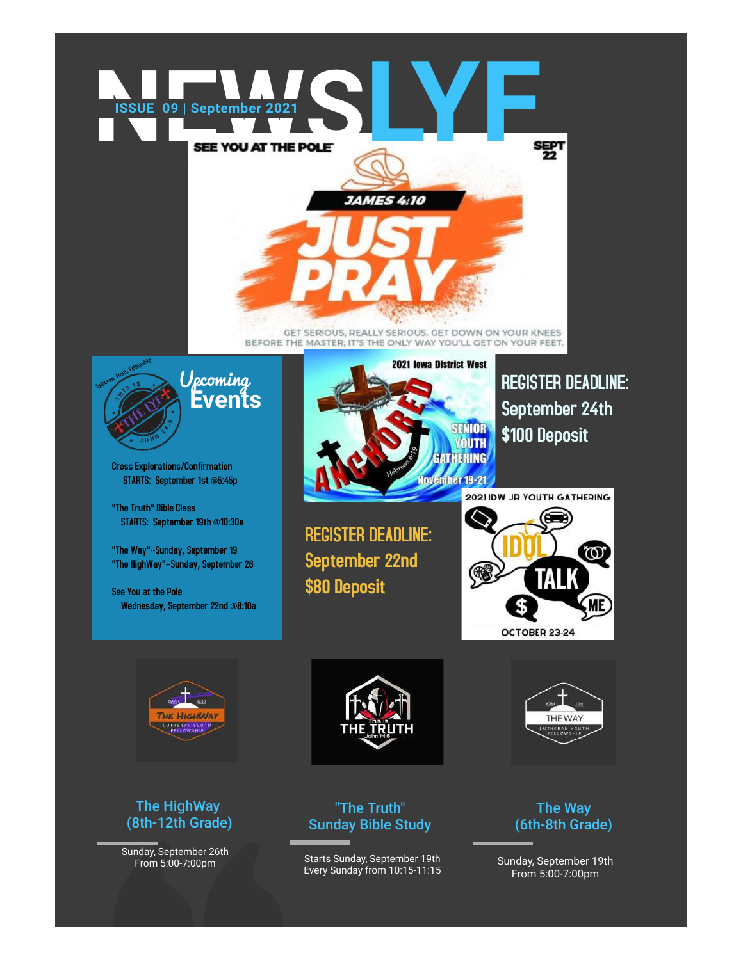

GET SERIOUS, REALLY SERIOUS. GET DOWN ON YOUR KNEES BEFORE THE MASTER; IT'S THE ONLY WAY YOU'LL GET ON YOUR FEET.